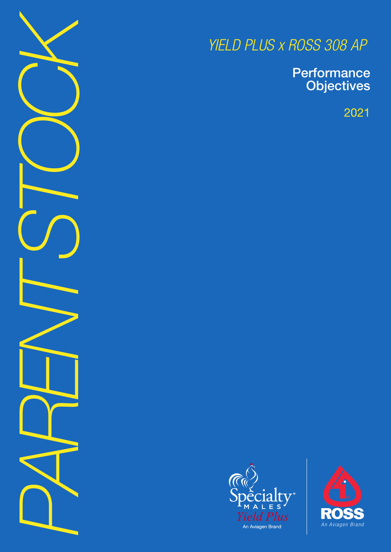*PARENT STOCK*

*YIELD PLUS x ROSS 308 AP*

**Performance Objectives** 

2021



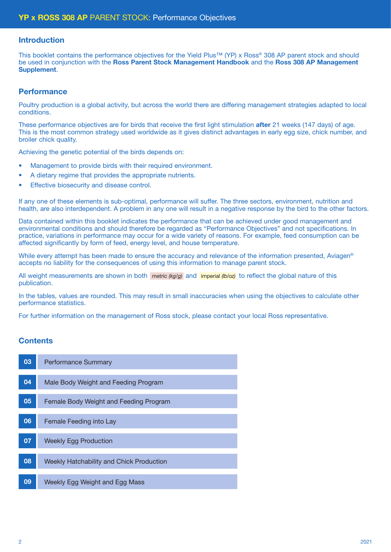#### Introduction

This booklet contains the performance objectives for the Yield Plus™ (YP) x Ross® 308 AP parent stock and should be used in conjunction with the Ross Parent Stock Management Handbook and the Ross 308 AP Management Supplement.

#### **Performance**

Poultry production is a global activity, but across the world there are differing management strategies adapted to local conditions.

These performance objectives are for birds that receive the first light stimulation after 21 weeks (147 days) of age. This is the most common strategy used worldwide as it gives distinct advantages in early egg size, chick number, and broiler chick quality.

Achieving the genetic potential of the birds depends on:

- Management to provide birds with their required environment.
- A dietary regime that provides the appropriate nutrients.
- Effective biosecurity and disease control.

If any one of these elements is sub-optimal, performance will suffer. The three sectors, environment, nutrition and health, are also interdependent. A problem in any one will result in a negative response by the bird to the other factors.

Data contained within this booklet indicates the performance that can be achieved under good management and environmental conditions and should therefore be regarded as "Performance Objectives" and not specifications. In practice, variations in performance may occur for a wide variety of reasons. For example, feed consumption can be affected significantly by form of feed, energy level, and house temperature.

While every attempt has been made to ensure the accuracy and relevance of the information presented. Aviagen<sup>®</sup> accepts no liability for the consequences of using this information to manage parent stock.

All weight measurements are shown in both metric (kg/g) and imperial (b/oz) to reflect the global nature of this publication.

In the tables, values are rounded. This may result in small inaccuracies when using the objectives to calculate other performance statistics.

For further information on the management of Ross stock, please contact your local Ross representative.

### **Contents**

| 03 | <b>Performance Summary</b>               |
|----|------------------------------------------|
| 04 | Male Body Weight and Feeding Program     |
|    |                                          |
| 05 | Female Body Weight and Feeding Program   |
|    |                                          |
| 06 | Female Feeding into Lay                  |
| 07 | <b>Weekly Egg Production</b>             |
|    |                                          |
| 08 | Weekly Hatchability and Chick Production |
|    |                                          |
| 09 | Weekly Egg Weight and Egg Mass           |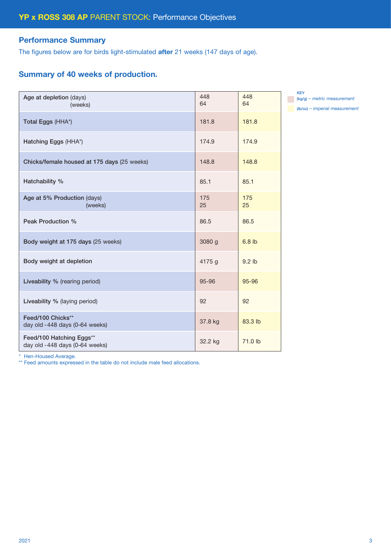### Performance Summary

The figures below are for birds light-stimulated after 21 weeks (147 days of age).

## Summary of 40 weeks of production.

| Age at depletion (days)<br>(weeks)                         | 448<br>64 | 448<br>64 |
|------------------------------------------------------------|-----------|-----------|
| Total Eggs (HHA*)                                          | 181.8     | 181.8     |
| Hatching Eggs (HHA*)                                       | 174.9     | 174.9     |
| Chicks/female housed at 175 days (25 weeks)                | 148.8     | 148.8     |
| Hatchability %                                             | 85.1      | 85.1      |
| Age at 5% Production (days)<br>(weeks)                     | 175<br>25 | 175<br>25 |
| Peak Production %                                          | 86.5      | 86.5      |
| Body weight at 175 days (25 weeks)                         | 3080 g    | $6.8$ lb  |
| Body weight at depletion                                   | 4175 g    | $9.2$ lb  |
| Liveability % (rearing period)                             | 95-96     | 95-96     |
| Liveability % (laying period)                              | 92        | 92        |
| Feed/100 Chicks**<br>day old -448 days (0-64 weeks)        | 37.8 kg   | 83.3 lb   |
| Feed/100 Hatching Eggs**<br>day old -448 days (0-64 weeks) | 32.2 kg   | 71.0 lb   |

KEY (kg/g) *– metric measurement* (lb/oz) *– imperial measurement*

\* Hen-Housed Average.

\*\* Feed amounts expressed in the table do not include male feed allocations.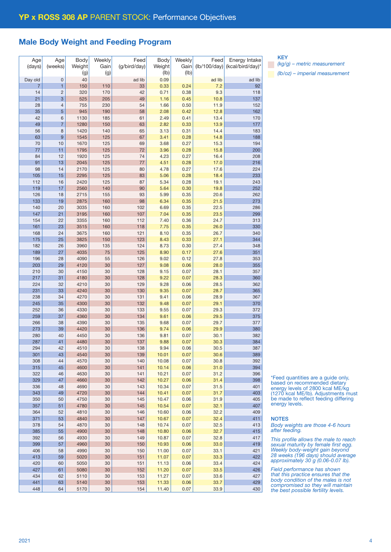#### Male Body Weight and Feeding Program

| Age            | Age            | Body   | Weekly | Feed         | Body   | Weekly | Feed                                  | Energy Intake    |
|----------------|----------------|--------|--------|--------------|--------|--------|---------------------------------------|------------------|
|                | (weeks)        |        | Gain   | (g/bird/day) | Weight | Gain   | $(\frac{1}{100} \cdot \frac{1}{100})$ |                  |
| (days)         |                | Weight |        |              |        |        |                                       | (kcal/bird/day)* |
|                |                | (g)    | (g)    |              | (lb)   | (Ib)   |                                       |                  |
| Day old        | 0              | 40     |        | ad lib       | 0.09   |        | ad lib                                | ad lib           |
|                |                |        |        |              |        |        |                                       |                  |
| $\overline{7}$ | 1              | 150    | 110    | 33           | 0.33   | 0.24   | 7.2                                   | 92               |
| 14             | $\overline{c}$ | 320    | 170    | 42           | 0.71   | 0.38   | 9.3                                   | 118              |
| 21             | 3              | 525    | 205    | 49           | 1.16   | 0.45   | 10.8                                  | 137              |
|                |                |        |        |              |        |        |                                       |                  |
| 28             | 4              | 755    | 230    | 54           | 1.66   | 0.50   | 11.9                                  | 152              |
| 35             | 5              | 945    | 190    | 58           | 2.08   | 0.42   | 12.8                                  | 162              |
| 42             | 6              | 1130   | 185    | 61           | 2.49   | 0.41   | 13.4                                  | 170              |
|                |                |        |        |              |        |        |                                       |                  |
| 49             | 7              | 1280   | 150    | 63           | 2.82   | 0.33   | 13.9                                  | 177              |
| 56             | 8              | 1420   | 140    | 65           | 3.13   | 0.31   | 14.4                                  | 183              |
| 63             | 9              | 1545   | 125    | 67           | 3.41   | 0.28   | 14.8                                  | 188              |
|                |                |        |        |              |        |        |                                       |                  |
| 70             | 10             | 1670   | 125    | 69           | 3.68   | 0.27   | 15.3                                  | 194              |
| 77             | 11             | 1795   | 125    | 72           | 3.96   | 0.28   | 15.8                                  | 200              |
| 84             | 12             | 1920   | 125    | 74           | 4.23   | 0.27   | 16.4                                  | 208              |
| 91             | 13             | 2045   | 125    | 77           | 4.51   | 0.28   | 17.0                                  | 216              |
|                |                |        |        |              |        |        |                                       |                  |
| 98             | 14             | 2170   | 125    | 80           | 4.78   | 0.27   | 17.6                                  | 224              |
| 105            | 15             | 2295   | 125    | 83           | 5.06   | 0.28   | 18.4                                  | 233              |
| 112            | 16             | 2420   | 125    | 87           | 5.34   | 0.28   | 19.1                                  | 243              |
|                |                |        |        |              |        |        |                                       |                  |
| 119            | 17             | 2560   | 140    | 90           | 5.64   | 0.30   | 19.8                                  | 252              |
| 126            | 18             | 2715   | 155    | 93           | 5.99   | 0.35   | 20.6                                  | 262              |
| 133            | 19             | 2875   | 160    | 98           | 6.34   | 0.35   | 21.5                                  | 273              |
|                |                |        |        |              |        |        |                                       |                  |
| 140            | 20             | 3035   | 160    | 102          | 6.69   | 0.35   | 22.5                                  | 286              |
| 147            | 21             | 3195   | 160    | 107          | 7.04   | 0.35   | 23.5                                  | 299              |
| 154            | 22             | 3355   | 160    | 112          | 7.40   | 0.36   | 24.7                                  | 313              |
|                |                |        |        |              |        |        |                                       |                  |
| 161            | 23             | 3515   | 160    | 118          | 7.75   | 0.35   | 26.0                                  | 330              |
| 168            | 24             | 3675   | 160    | 121          | 8.10   | 0.35   | 26.7                                  | 340              |
| 175            | 25             | 3825   | 150    | 123          | 8.43   | 0.33   | 27.1                                  | 344              |
| 182            |                | 3960   |        | 124          |        | 0.30   |                                       |                  |
|                | 26             |        | 135    |              | 8.73   |        | 27.4                                  | 348              |
| 189            | 27             | 4035   | 75     | 125          | 8.90   | 0.17   | 27.6                                  | 351              |
| 196            | 28             | 4090   | 55     | 126          | 9.02   | 0.12   | 27.8                                  | 353              |
| 203            | 29             | 4120   | 30     | 127          | 9.08   | 0.06   | 28.0                                  | 355              |
|                |                |        |        |              |        |        |                                       |                  |
| 210            | 30             | 4150   | 30     | 128          | 9.15   | 0.07   | 28.1                                  | 357              |
| 217            | 31             | 4180   | 30     | 128          | 9.22   | 0.07   | 28.3                                  | 360              |
| 224            | 32             | 4210   | 30     | 129          | 9.28   | 0.06   | 28.5                                  | 362              |
|                |                |        |        |              |        |        |                                       |                  |
| 231            | 33             | 4240   | 30     | 130          | 9.35   | 0.07   | 28.7                                  | 365              |
| 238            | 34             | 4270   | 30     | 131          | 9.41   | 0.06   | 28.9                                  | 367              |
| 245            | 35             | 4300   | 30     | 132          | 9.48   | 0.07   | 29.1                                  | 370              |
| 252            | 36             | 4330   | 30     | 133          | 9.55   | 0.07   | 29.3                                  | 372              |
|                |                |        |        |              |        |        |                                       |                  |
| 259            | 37             | 4360   | 30     | 134          | 9.61   | 0.06   | 29.5                                  | 375              |
| 266            | 38             | 4390   | 30     | 135          | 9.68   | 0.07   | 29.7                                  | 377              |
| 273            | 39             | 4420   | 30     | 136          | 9.74   | 0.06   | 29.9                                  | 380              |
|                |                |        |        |              |        |        |                                       |                  |
| 280            | 40             | 4450   | 30     | 136          | 9.81   | 0.07   | 30.1                                  | 382              |
| 287            | 41             | 4480   | 30     | 137          | 9.88   | 0.07   | 30.3                                  | 384              |
| 294            | 42             | 4510   | 30     | 138          | 9.94   | 0.06   | 30.5                                  | 387              |
| 301            | 43             | 4540   | 30     | 139          | 10.01  | 0.07   | 30.6                                  | 389              |
|                |                |        |        |              |        |        |                                       |                  |
| 308            | 44             | 4570   | 30     | 140          | 10.08  | 0.07   | 30.8                                  | 392              |
| 315            | 45             | 4600   | 30     | 141          | 10.14  | 0.06   | 31.0                                  | 394              |
| 322            | 46             | 4630   | 30     | 141          | 10.21  | 0.07   | 31.2                                  | 396              |
|                |                |        |        |              |        |        |                                       |                  |
| 329            | 47             | 4660   | 30     | 142          | 10.27  | 0.06   | 31.4                                  | 398              |
| 336            | 48             | 4690   | 30     | 143          | 10.34  | 0.07   | 31.5                                  | 401              |
| 343            | 49             | 4720   | 30     | 144          | 10.41  | 0.07   | 31.7                                  | 403              |
| 350            | 50             | 4750   | 30     | 145          | 10.47  | 0.06   | 31.9                                  | 405              |
|                |                |        |        |              |        |        |                                       |                  |
| 357            | 51             | 4780   | 30     | 145          | 10.54  | 0.07   | 32.1                                  | 407              |
| 364            | 52             | 4810   | 30     | 146          | 10.60  | 0.06   | 32.2                                  | 409              |
| 371            | 53             | 4840   | 30     | 147          | 10.67  | 0.07   | 32.4                                  | 411              |
|                |                |        |        |              |        |        |                                       |                  |
| 378            | 54             | 4870   | 30     | 148          | 10.74  | 0.07   | 32.5                                  | 413              |
| 385            | 55             | 4900   | 30     | 148          | 10.80  | 0.06   | 32.7                                  | 415              |
| 392            | 56             | 4930   | 30     | 149          | 10.87  | 0.07   | 32.8                                  | 417              |
| 399            | 57             | 4960   | 30     | 150          | 10.93  | 0.06   | 33.0                                  | 419              |
|                |                |        |        |              |        |        |                                       |                  |
| 406            | 58             | 4990   | 30     | 150          | 11.00  | 0.07   | 33.1                                  | 421              |
| 413            | 59             | 5020   | 30     | 151          | 11.07  | 0.07   | 33.3                                  | 422              |
| 420            | 60             | 5050   | 30     | 151          | 11.13  | 0.06   | 33.4                                  | 424              |
|                |                |        |        |              |        |        |                                       |                  |
| 427            | 61             | 5080   | 30     | 152          | 11.20  | 0.07   | 33.5                                  | 426              |
| 434            | 62             | 5110   | 30     | 153          | 11.27  | 0.07   | 33.6                                  | 427              |
| 441            | 63             | 5140   | $30\,$ | 153          | 11.33  | 0.06   | 33.7                                  | 429              |
|                |                |        |        |              |        |        |                                       |                  |
| 448            | 64             | 5170   | $30\,$ | 154          | 11.40  | 0.07   | 33.9                                  | 430              |

KEY

*(kg/g) – metric measurement (lb/oz) – imperial measurement*

\*Feed quantities are a guide only, based on recommended dietary energy levels of 2800 kcal ME/kg (1270 kcal ME/lb). Adjustments must be made to reflect feeding differing energy levels.

#### **NOTES**

*Body weights are those 4-6 hours after feeding.*

*This profile allows the male to reach sexual maturity by female first egg. Weekly body-weight gain beyond 28 weeks (196 days) should average approximately 30 g (0.06-0.07 lb).*

*Field performance has shown that this practice ensures that the body condition of the males is not compromised so they will maintain the best possible fertility levels.*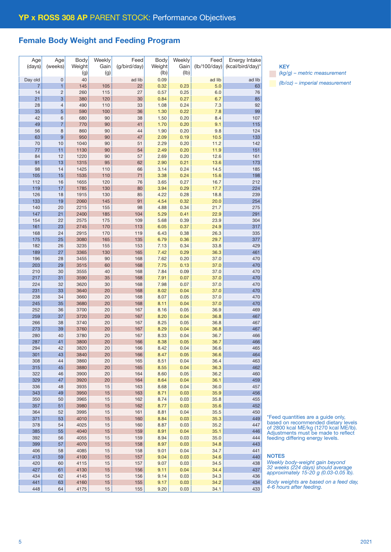## Female Body Weight and Feeding Program

| Age<br>(days)  | Age<br>(weeks)      | Body<br>Weight | Weekly<br>Gain | Feed<br>(g/bird/day) | Body<br>Weight | Weekly<br>Gain<br>(Ib) | Feed<br>(lb/100/day) | Energy Intake<br>(kcal/bird/day)* |
|----------------|---------------------|----------------|----------------|----------------------|----------------|------------------------|----------------------|-----------------------------------|
|                |                     | (g)            | (g)            |                      | (Ib)           |                        |                      |                                   |
| Day old        | $\mathbf 0$         | 40             |                | ad lib               | 0.09           |                        | ad lib               | ad lib                            |
| $\overline{7}$ | 1                   | 145            | 105            | 22                   | 0.32           | 0.23<br>0.25           | 5.0                  | 63                                |
| 14             | $\overline{c}$      | 260            | 115            | 27                   | 0.57           |                        | 6.0                  | 76                                |
| 21             | 3                   | 380            | 120            | 30                   | 0.84<br>1.08   | 0.27                   | 6.7                  | 85                                |
| 28<br>35       | $\overline{4}$      | 490<br>590     | 110<br>100     | 33<br>36             |                | 0.24<br>0.22           | 7.3                  | 92<br>99                          |
| 42             | 5                   | 680            | 90             | 38                   | 1.30           |                        | 7.8                  |                                   |
| 49             | 6<br>$\overline{7}$ | 770            | 90             | 41                   | 1.50<br>1.70   | 0.20<br>0.20           | 8.4<br>9.1           | 107<br>115                        |
| 56             | 8                   | 860            | 90             | 44                   | 1.90           | 0.20                   | 9.8                  | 124                               |
| 63             | 9                   | 950            | 90             | 47                   | 2.09           | 0.19                   | 10.5                 | 133                               |
| 70             | 10                  | 1040           | 90             | 51                   | 2.29           | 0.20                   | 11.2                 | 142                               |
| 77             | 11                  | 1130           | 90             | 54                   | 2.49           | 0.20                   | 11.9                 | 151                               |
| 84             | 12                  | 1220           | 90             | 57                   | 2.69           | 0.20                   | 12.6                 | 161                               |
| 91             | 13                  | 1315           | 95             | 62                   | 2.90           | 0.21                   | 13.6                 | 173                               |
| 98             | 14                  | 1425           | 110            | 66                   | 3.14           | 0.24                   | 14.5                 | 185                               |
| 105            | 15                  | 1535           | 110            | 71                   | 3.38           | 0.24                   | 15.6                 | 198                               |
| 112            | 16                  | 1655           | 120            | 76                   | 3.65           | 0.27                   | 16.7                 | 212                               |
| 119            | 17                  | 1785           | 130            | 80                   | 3.94           | 0.29                   | 17.7                 | 224                               |
| 126            | 18                  | 1915           | 130            | 85                   | 4.22           | 0.28                   | 18.8                 | 239                               |
| 133            | 19                  | 2060           | 145            | 91                   | 4.54           | 0.32                   | 20.0                 | 254                               |
| 140            | 20                  | 2215           | 155            | 98                   | 4.88           | 0.34                   | 21.7                 | 275                               |
| 147            | 21                  | 2400           | 185            | 104                  | 5.29           | 0.41                   | 22.9                 | 291                               |
| 154            | 22                  | 2575           | 175            | 109                  | 5.68           | 0.39                   | 23.9                 | 304                               |
| 161            | 23                  | 2745           | 170            | 113                  | 6.05           | 0.37                   | 24.9                 | 317                               |
| 168            | 24                  | 2915           | 170            | 119                  | 6.43           | 0.38                   | 26.3                 | 335                               |
| 175            | 25                  | 3080           | 165            | 135                  | 6.79           | 0.36                   | 29.7                 | 377                               |
| 182            | 26                  | 3235           | 155            | 153                  | 7.13           | 0.34                   | 33.8                 | 429                               |
| 189            | 27                  | 3365           | 130            | 165                  | 7.42           | 0.29                   | 36.3                 | 461                               |
| 196            | 28                  | 3455           | 90             | 168                  | 7.62           | 0.20                   | 37.0                 | 470                               |
| 203            | 29                  | 3515           | 60             | 168                  | 7.75           | 0.13                   | 37.0                 | 470                               |
| 210            | 30                  | 3555           | 40             | 168                  | 7.84           | 0.09                   | 37.0                 | 470                               |
| 217            | 31                  | 3590           | 35             | 168                  | 7.91           | 0.07                   | 37.0                 | 470                               |
| 224            | 32                  | 3620           | 30             | 168                  | 7.98           | 0.07                   | 37.0                 | 470                               |
| 231            | 33                  | 3640           | 20             | 168                  | 8.02           | 0.04                   | 37.0                 | 470                               |
| 238            | 34                  | 3660           | 20             | 168                  | 8.07           | 0.05                   | 37.0                 | 470                               |
| 245            | 35                  | 3680           | 20             | 168                  | 8.11           | 0.04                   | 37.0                 | 470                               |
| 252            | 36                  | 3700           | 20             | 167                  | 8.16           | 0.05                   | 36.9                 | 469                               |
| 259            | 37                  | 3720           | 20             | 167                  | 8.20           | 0.04                   | 36.8                 | 467                               |
| 266            | 38                  | 3740           | 20             | 167                  | 8.25           | 0.05                   | 36.8                 | 467                               |
| 273            | 39                  | 3760           | 20             | 167                  | 8.29           | 0.04                   | 36.8                 | 467                               |
| 280            | 40                  | 3780           | 20             | 167                  | 8.33           | 0.04                   | 36.7                 | 466                               |
| 287            | 41                  | 3800           | 20             | 166                  | 8.38           | 0.05                   | 36.7                 | 466                               |
| 294            | 42                  | 3820           | 20             | 166                  | 8.42           | 0.04                   | 36.6                 | 465                               |
| 301            | 43                  | 3840           | 20             | 166                  | 8.47           | 0.05                   | 36.6                 | 464                               |
| 308            | 44                  | 3860           | 20             | 165                  | 8.51           | 0.04                   | 36.4                 | 463                               |
| 315            | 45                  | 3880           | 20             | 165                  | 8.55           | 0.04                   | 36.3                 | 462                               |
| 322            | 46                  | 3900           | 20             | 164                  | 8.60           | 0.05                   | 36.2                 | 460                               |
| 329            | 47                  | 3920           | 20             | 164                  | 8.64           | 0.04                   | 36.1                 | 459                               |
| 336            | 48                  | 3935           | 15             | 163                  | 8.68           | 0.04                   | 36.0                 | 457                               |
| 343            | 49                  | 3950           | 15             | 163                  | 8.71           | 0.03                   | 35.9                 | 456                               |
| 350            | 50                  | 3965           | 15             | 162                  | 8.74           | 0.03                   | 35.8                 | 455                               |
| 357            | 51                  | 3980           | 15             | 162                  | 8.77           | 0.03                   | 35.6                 | 452                               |
| 364            | 52                  | 3995           | 15             | 161                  | 8.81           | 0.04                   | 35.5                 | 450                               |
| 371            | 53                  | 4010           | 15             | 160                  | 8.84           | 0.03                   | 35.3                 | 449                               |
| 378            | 54                  | 4025           | 15             | 160                  | 8.87           | 0.03                   | 35.2                 | 447                               |
| 385            | 55                  | 4040           | 15             | 159                  | 8.91           | 0.04                   | 35.1                 | 446                               |
| 392            | 56                  | 4055           | 15             | 159                  | 8.94           | 0.03                   | 35.0                 | 444                               |
| 399            | 57                  | 4070           | 15             | 158                  | 8.97           | 0.03                   | 34.8                 | 443                               |
| 406            | 58                  | 4085           | 15             | 158                  | 9.01           | 0.04                   | 34.7                 | 441                               |
| 413            | 59                  | 4100           | 15             | 157                  | 9.04           | 0.03                   | 34.6                 | 440                               |
| 420            | 60                  | 4115           | 15             | 157                  | 9.07           | 0.03                   | 34.5                 | 438                               |
| 427            | 61                  | 4130           | 15             | 156                  | 9.11           | 0.04                   | 34.4                 | 437                               |
| 434            | 62                  | 4145           | 15             | 156                  | 9.14           | 0.03                   | 34.3                 | 436                               |
| 441            | 63                  | 4160           | $15\,$         | 155                  | 9.17           | 0.03                   | 34.2                 | 434                               |
| 448            | 64                  | 4175           | 15             | 155                  | 9.20           | 0.03                   | 34.1                 | 433                               |

**KEY** *(kg/g) – metric measurement (lb/oz) – imperial measurement*

\*Feed quantities are a guide only, based on recommended dietary levels of 2800 kcal ME/kg (1270 kcal ME/lb). Adjustments must be made to reflect feeding differing energy levels.

NOTES

*Weekly body-weight gain beyond 32 weeks (224 days) should average approximately 15-20 g (0.03-0.05 lb).*

*Body weights are based on a feed day, 4-6 hours after feeding.*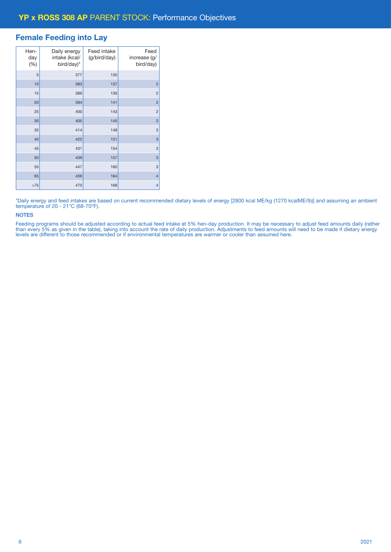### Female Feeding into Lay

| Hen-<br>day<br>(%) | Daily energy<br>intake (kcal/<br>bird/day)* | Feed intake<br>(g/bird/day) | Feed<br>increase (g/<br>bird/day) |
|--------------------|---------------------------------------------|-----------------------------|-----------------------------------|
| 5                  | 377                                         | 135                         |                                   |
| 10                 | 383                                         | 137                         | $\overline{c}$                    |
| 15                 | 389                                         | 139                         | $\overline{c}$                    |
| 20                 | 394                                         | 141                         | $\overline{c}$                    |
| 25                 | 400                                         | 143                         | $\overline{c}$                    |
| 30                 | 405                                         | 145                         | $\overline{c}$                    |
| 35                 | 414                                         | 148                         | 3                                 |
| 40                 | 422                                         | 151                         | 3                                 |
| 45                 | 431                                         | 154                         | 3                                 |
| 50                 | 439                                         | 157                         | 3                                 |
| 55                 | 447                                         | 160                         | 3                                 |
| 65                 | 459                                         | 164                         | $\overline{4}$                    |
| >75                | 470                                         | 168                         | $\overline{4}$                    |

\*Daily energy and feed intakes are based on current recommended dietary levels of energy [2800 kcal ME/kg (1270 kcalME/lb)] and assuming an ambient temperature of 20 - 21°C (68-70°F).

#### **NOTES**

Feeding programs should be adjusted according to actual feed intake at 5% hen-day production. It may be necessary to adjust feed amounts daily (rather than every 5% as given in the table), taking into account the rate of daily production. Adjustments to feed amounts will need to be made if dietary energy levels are different to those recommended or if environmental temperatures are warmer or cooler than assumed here.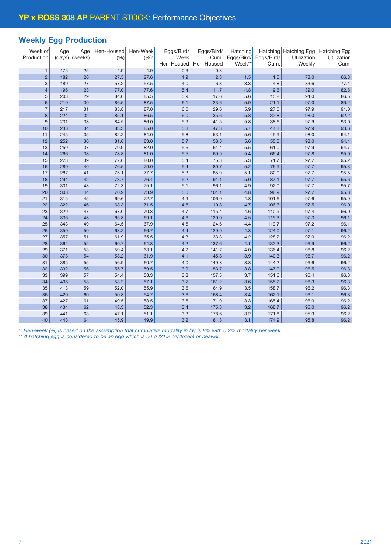## Weekly Egg Production

| Week of<br>Production     | Age<br>(days) | Age<br>(weeks) | Hen-Housed<br>(%) | Hen-Week<br>$(%)^*$ | Eggs/Bird/<br>Week | Eggs/Bird/<br>Cum. | Hatching<br>Eggs/Bird/ | Hatching<br>Eggs/Bird/ | <b>Hatching Egg</b><br>Utilization | <b>Hatching Egg</b><br>Utilization |
|---------------------------|---------------|----------------|-------------------|---------------------|--------------------|--------------------|------------------------|------------------------|------------------------------------|------------------------------------|
|                           |               |                |                   |                     | Hen-Housed         | Hen-Housed         | Week**                 | Cum.                   | Weekly                             | Cum.                               |
| $\mathbf{1}$              | 175           | 25             | 4.9               | 4.9                 | 0.3                | 0.3                |                        |                        |                                    |                                    |
| $\overline{2}$            | 182           | 26             | 27.5              | 27.6                | 1.9                | 2.3                | 1.5                    | 1.5                    | 78.0                               | 66.3                               |
| $\ensuremath{\mathsf{3}}$ | 189           | 27             | 57.2              | 57.5                | 4.0                | 6.3                | 3.3                    | 4.8                    | 83.6                               | 77.4                               |
| $\overline{4}$            | 196           | 28             | 77.0              | 77.6                | 5.4                | 11.7               | 4.8                    | 9.6                    | 89.0                               | 82.8                               |
| 5                         | 203           | 29             | 84.6              | 85.5                | 5.9                | 17.6               | 5.6                    | 15.2                   | 94.0                               | 86.5                               |
| $6\phantom{1}$            | 210           | 30             | 86.5              | 87.5                | 6.1                | 23.6               | 5.9                    | 21.1                   | 97.0                               | 89.2                               |
| $\overline{7}$            | 217           | 31             | 85.8              | 87.0                | 6.0                | 29.6               | 5.9                    | 27.0                   | 97.9                               | 91.0                               |
| $\boldsymbol{8}$          | 224           | 32             | 85.1              | 86.5                | 6.0                | 35.6               | 5.8                    | 32.8                   | 98.0                               | 92.2                               |
| 9                         | 231           | 33             | 84.5              | 86.0                | 5.9                | 41.5               | 5.8                    | 38.6                   | 97.9                               | 93.0                               |
| 10                        | 238           | 34             | 83.3              | 85.0                | 5.8                | 47.3               | 5.7                    | 44.3                   | 97.9                               | 93.6                               |
| 11                        | 245           | 35             | 82.2              | 84.0                | 5.8                | 53.1               | 5.6                    | 49.9                   | 98.0                               | 94.1                               |
| 12                        | 252           | 36             | 81.0              | 83.0                | 5.7                | 58.8               | 5.6                    | 55.5                   | 98.0                               | 94.4                               |
| 13                        | 259           | 37             | 79.9              | 82.0                | 5.6                | 64.4               | 5.5                    | 61.0                   | 97.9                               | 94.7                               |
| 14                        | 266           | 38             | 78.8              | 81.0                | 5.5                | 69.9               | 5.4                    | 66.4                   | 97.8                               | 95.0                               |
| 15                        | 273           | 39             | 77.6              | 80.0                | 5.4                | 75.3               | 5.3                    | 71.7                   | 97.7                               | 95.2                               |
| 16                        | 280           | 40             | 76.5              | 79.0                | 5.4                | 80.7               | 5.2                    | 76.9                   | 97.7                               | 95.3                               |
| 17                        | 287           | 41             | 75.1              | 77.7                | 5.3                | 85.9               | 5.1                    | 82.0                   | 97.7                               | 95.5                               |
| 18                        | 294           | 42             | 73.7              | 76.4                | 5.2                | 91.1               | 5.0                    | 87.1                   | 97.7                               | 95.6                               |
| 19                        | 301           | 43             | 72.3              | 75.1                | 5.1                | 96.1               | 4.9                    | 92.0                   | 97.7                               | 95.7                               |
| 20                        | 308           | 44             | 70.9              | 73.9                | 5.0                | 101.1              | 4.8                    | 96.9                   | 97.7                               | 95.8                               |
| 21                        | 315           | 45             | 69.6              | 72.7                | 4.9                | 106.0              | 4.8                    | 101.6                  | 97.6                               | 95.9                               |
| 22                        | 322           | 46             | 68.3              | 71.5                | 4.8                | 110.8              | 4.7                    | 106.3                  | 97.5                               | 96.0                               |
| 23                        | 329           | 47             | 67.0              | 70.3                | 4.7                | 115.4              | 4.6                    | 110.9                  | 97.4                               | 96.0                               |
| 24                        | 336           | 48             | 65.8              | 69.1                | 4.6                | 120.0              | 4.5                    | 115.3                  | 97.3                               | 96.1                               |
| 25                        | 343           | 49             | 64.5              | 67.9<br>66.7        | 4.5                | 124.6              | 4.4                    | 119.7                  | 97.2<br>97.1                       | 96.1<br>96.2                       |
| 26<br>27                  | 350<br>357    | 50<br>51       | 63.2              |                     | 4.4                | 129.0<br>133.3     | 4.3                    | 124.0<br>128.2         | 97.0                               | 96.2                               |
| 28                        | 364           | 52             | 61.9<br>60.7      | 65.5<br>64.3        | 4.3<br>4.2         | 137.6              | 4.2<br>4.1             | 132.3                  | 96.9                               | 96.2                               |
| 29                        | 371           | 53             | 59.4              | 63.1                | 4.2                | 141.7              | 4.0                    | 136.4                  | 96.8                               | 96.2                               |
| 30                        | 378           | 54             | 58.2              | 61.9                | 4.1                | 145.8              | 3.9                    | 140.3                  | 96.7                               | 96.2                               |
| 31                        | 385           | 55             | 56.9              | 60.7                | 4.0                | 149.8              | 3.8                    | 144.2                  | 96.6                               | 96.2                               |
| 32                        | 392           | 56             | 55.7              | 59.5                | 3.9                | 153.7              | 3.8                    | 147.9                  | 96.5                               | 96.3                               |
| 33                        | 399           | 57             | 54.4              | 58.3                | 3.8                | 157.5              | 3.7                    | 151.6                  | 96.4                               | 96.3                               |
| 34                        | 406           | 58             | 53.2              | 57.1                | 3.7                | 161.2              | 3.6                    | 155.2                  | 96.3                               | 96.3                               |
| 35                        | 413           | 59             | 52.0              | 55.9                | 3.6                | 164.9              | 3.5                    | 158.7                  | 96.2                               | 96.3                               |
| 36                        | 420           | 60             | 50.8              | 54.7                | 3.6                | 168.4              | 3.4                    | 162.1                  | 96.1                               | 96.3                               |
| 37                        | 427           | 61             | 49.5              | 53.5                | 3.5                | 171.9              | 3.3                    | 165.4                  | 96.0                               | 96.2                               |
| 38                        | 434           | 62             | 48.3              | 52.3                | 3.4                | 175.3              | 3.2                    | 168.7                  | 96.0                               | 96.2                               |
| 39                        | 441           | 63             | 47.1              | 51.1                | 3.3                | 178.6              | 3.2                    | 171.8                  | 95.9                               | 96.2                               |
| 40                        | 448           | 64             | 45.9              | 49.9                | 3.2                | 181.8              | 3.1                    | 174.9                  | 95.8                               | 96.2                               |

*\* Hen-week (%) is based on the assumption that cumulative mortality in lay is 8% with 0.2% mortality per week.*

*\*\* A hatching egg is considered to be an egg which is 50 g (21.2 oz/dozen) or heavier.*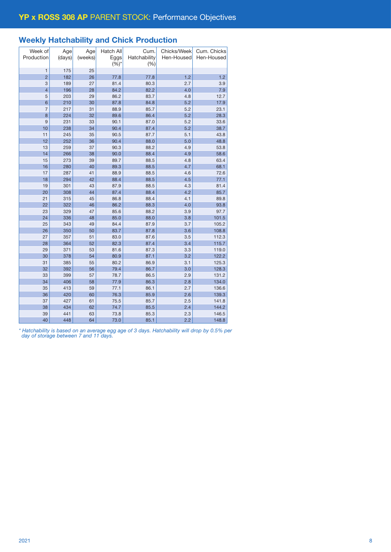## Weekly Hatchability and Chick Production

| Week of<br>Production | Age<br>(days) | Age<br>(weeks) | Hatch All<br>Eggs<br>$(%)^*$ | Cum.<br>Hatchability<br>(%) | Chicks/Week<br>Hen-Housed | Cum. Chicks<br>Hen-Housed |
|-----------------------|---------------|----------------|------------------------------|-----------------------------|---------------------------|---------------------------|
| $\mathbf{1}$          | 175           | 25             |                              |                             |                           |                           |
| $\overline{2}$        | 182           | 26             | 77.8                         | 77.8                        | 1.2                       | 1.2                       |
| 3                     | 189           | 27             | 81.4                         | 80.3                        | 2.7                       | 3.9                       |
| $\overline{4}$        | 196           | 28             | 84.2                         | 82.2                        | 4.0                       | 7.9                       |
| 5                     | 203           | 29             | 86.2                         | 83.7                        | 4.8                       | 12.7                      |
| 6                     | 210           | 30             | 87.8                         | 84.8                        | 5.2                       | 17.9                      |
| $\overline{7}$        | 217           | 31             | 88.9                         | 85.7                        | 5.2                       | 23.1                      |
| 8                     | 224           | 32             | 89.6                         | 86.4                        | 5.2                       | 28.3                      |
| 9                     | 231           | 33             | 90.1                         | 87.0                        | 5.2                       | 33.6                      |
| 10                    | 238           | 34             | 90.4                         | 87.4                        | 5.2                       | 38.7                      |
| 11                    | 245           | 35             | 90.5                         | 87.7                        | 5.1                       | 43.8                      |
| 12                    | 252           | 36             | 90.4                         | 88.0                        | 5.0                       | 48.8                      |
| 13                    | 259           | 37             | 90.3                         | 88.2                        | 4.9                       | 53.8                      |
| 14                    | 266           | 38             | 90.0                         | 88.4                        | 4.9                       | 58.6                      |
| 15                    | 273           | 39             | 89.7                         | 88.5                        | 4.8                       | 63.4                      |
| 16                    | 280           | 40             | 89.3                         | 88.5                        | 4.7                       | 68.1                      |
| 17                    | 287           | 41             | 88.9                         | 88.5                        | 4.6                       | 72.6                      |
| 18                    | 294           | 42             | 88.4                         | 88.5                        | 4.5                       | 77.1                      |
| 19                    | 301           | 43             | 87.9                         | 88.5                        | 4.3                       | 81.4                      |
| 20                    | 308           | 44             | 87.4                         | 88.4                        | 4.2                       | 85.7                      |
| 21                    | 315           | 45             | 86.8                         | 88.4                        | 4.1                       | 89.8                      |
| 22                    | 322           | 46             | 86.2                         | 88.3                        | 4.0                       | 93.8                      |
| 23                    | 329           | 47             | 85.6                         | 88.2                        | 3.9                       | 97.7                      |
| 24                    | 336           | 48             | 85.0                         | 88.0                        | 3.8                       | 101.5                     |
| 25                    | 343           | 49             | 84.4                         | 87.9                        | 3.7                       | 105.2                     |
| 26                    | 350           | 50             | 83.7                         | 87.8                        | 3.6                       | 108.8                     |
| 27                    | 357           | 51             | 83.0                         | 87.6                        | 3.5                       | 112.3                     |
| 28                    | 364           | 52             | 82.3                         | 87.4                        | 3.4                       | 115.7                     |
| 29                    | 371           | 53             | 81.6                         | 87.3                        | 3.3                       | 119.0                     |
| 30                    | 378           | 54             | 80.9                         | 87.1                        | 3.2                       | 122.2                     |
| 31                    | 385           | 55             | 80.2                         | 86.9                        | 3.1                       | 125.3                     |
| 32                    | 392           | 56             | 79.4                         | 86.7                        | 3.0                       | 128.3                     |
| 33                    | 399           | 57             | 78.7                         | 86.5                        | 2.9                       | 131.2                     |
| 34                    | 406           | 58             | 77.9                         | 86.3                        | 2.8                       | 134.0                     |
| 35                    | 413           | 59             | 77.1                         | 86.1                        | 2.7                       | 136.6                     |
| 36                    | 420           | 60             | 76.3                         | 85.9                        | 2.6                       | 139.3                     |
| 37                    | 427           | 61             | 75.5                         | 85.7                        | 2.5                       | 141.8                     |
| 38                    | 434           | 62             | 74.7                         | 85.5                        | 2.4                       | 144.2                     |
| 39                    | 441           | 63             | 73.8                         | 85.3                        | 2.3                       | 146.5                     |
| 40                    | 448           | 64             | 73.0                         | 85.1                        | 2.2                       | 148.8                     |

*\* Hatchability is based on an average egg age of 3 days. Hatchability will drop by 0.5% per day of storage between 7 and 11 days.*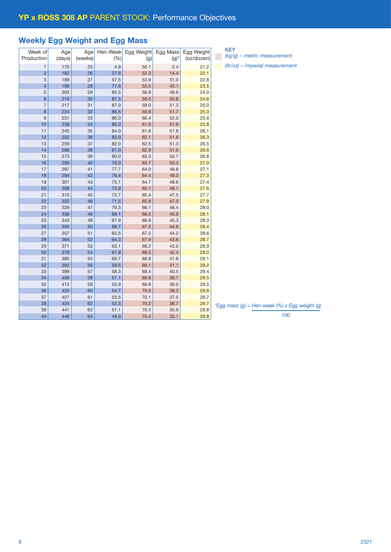# Weekly Egg Weight and Egg Mass

| Week of         | Age    | Age     | Hen-Week | Egg Weight | Egg Mass | Egg Weight |    |
|-----------------|--------|---------|----------|------------|----------|------------|----|
| Production      | (days) | (weeks) | (%)      | (g)        | $(g)^*$  | (oz/dozen) |    |
| $\mathbf{1}$    | 175    | 25      | 4.9      | 50.1       | 2.4      | 21.2       |    |
| $\overline{2}$  | 182    | 26      | 27.6     | 52.3       | 14.4     | 22.1       |    |
| 3               | 189    | 27      | 57.5     | 53.9       | 31.0     | 22.8       |    |
| $\overline{4}$  | 196    | 28      | 77.6     | 55.5       | 43.1     | 23.5       |    |
| 5               | 203    | 29      | 85.5     | 56.8       | 48.6     | 24.0       |    |
| $6\phantom{1}6$ | 210    | 30      | 87.5     | 58.0       | 50.8     | 24.6       |    |
| $\overline{7}$  | 217    | 31      | 87.0     | 59.0       | 51.3     | 25.0       |    |
| 8               | 224    | 32      | 86.5     | 59.8       | 51.7     | 25.3       |    |
| 9               | 231    | 33      | 86.0     | 60.4       | 52.0     | 25.6       |    |
| 10              | 238    | 34      | 85.0     | 61.0       | 51.9     | 25.8       |    |
| 11              | 245    | 35      | 84.0     | 61.6       | 51.8     | 26.1       |    |
| 12              | 252    | 36      | 83.0     | 62.1       | 51.6     | 26.3       |    |
| 13              | 259    | 37      | 82.0     | 62.5       | 51.3     | 26.5       |    |
| 14              | 266    | 38      | 81.0     | 62.9       | 51.0     | 26.6       |    |
| 15              | 273    | 39      | 80.0     | 63.3       | 50.7     | 26.8       |    |
| 16              | 280    | 40      | 79.0     | 63.7       | 50.3     | 27.0       |    |
| 17              | 287    | 41      | 77.7     | 64.0       | 49.8     | 27.1       |    |
| 18              | 294    | 42      | 76.4     | 64.4       | 49.2     | 27.3       |    |
| 19              | 301    | 43      | 75.1     | 64.7       | 48.6     | 27.4       |    |
| 20              | 308    | 44      | 73.9     | 65.1       | 48.1     | 27.6       |    |
| 21              | 315    | 45      | 72.7     | 65.4       | 47.5     | 27.7       |    |
| 22              | 322    | 46      | 71.5     | 65.8       | 47.0     | 27.9       |    |
| 23              | 329    | 47      | 70.3     | 66.1       | 46.4     | 28.0       |    |
| 24              | 336    | 48      | 69.1     | 66.5       | 45.9     | 28.1       |    |
| 25              | 343    | 49      | 67.9     | 66.8       | 45.3     | 28.3       |    |
| 26              | 350    | 50      | 66.7     | 67.2       | 44.8     | 28.4       |    |
| 27              | 357    | 51      | 65.5     | 67.5       | 44.2     | 28.6       |    |
| 28              | 364    | 52      | 64.3     | 67.9       | 43.6     | 28.7       |    |
| 29              | 371    | 53      | 63.1     | 68.2       | 43.0     | 28.9       |    |
| 30              | 378    | 54      | 61.9     | 68.5       | 42.4     | 29.0       |    |
| 31              | 385    | 55      | 60.7     | 68.8       | 41.8     | 29.1       |    |
| 32              | 392    | 56      | 59.5     | 69.1       | 41.1     | 29.2       |    |
| 33              | 399    | 57      | 58.3     | 69.4       | 40.5     | 29.4       |    |
| 34              | 406    | 58      | 57.1     | 69.6       | 39.7     | 29.5       |    |
| 35              | 413    | 59      | 55.9     | 69.8       | 39.0     | 29.5       |    |
| 36              | 420    | 60      | 54.7     | 70.0       | 38.3     | 29.6       |    |
| 37              | 427    | 61      | 53.5     | 70.1       | 37.5     | 29.7       |    |
| 38              | 434    | 62      | 52.3     | 70.2       | 36.7     | 29.7       |    |
| 39              | 441    | 63      | 51.1     | 70.3       | 35.9     | 29.8       | Eq |
| 40              | 448    | 64      | 49.9     | 70.4       | 35.1     | 29.8       |    |
|                 |        |         |          |            |          |            |    |

| <b>KEY</b>                       |
|----------------------------------|
| $(kq/q)$ – metric measurement    |
| $(lb/oz)$ – imperial measurement |

*\*Egg mass (g) = Hen-week (%) x Egg weight (g)*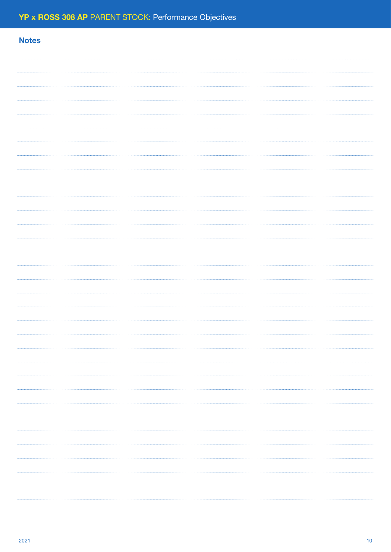| <b>Notes</b> |  |
|--------------|--|
|              |  |
|              |  |
|              |  |
|              |  |
|              |  |
|              |  |
|              |  |
|              |  |
|              |  |
|              |  |
|              |  |
|              |  |
|              |  |
|              |  |
|              |  |
|              |  |
|              |  |
|              |  |
|              |  |
|              |  |
|              |  |
|              |  |
|              |  |
|              |  |
|              |  |
|              |  |
|              |  |
|              |  |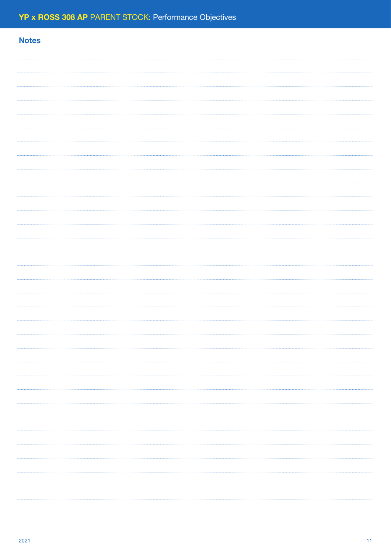| <b>Notes</b> |  |
|--------------|--|
|              |  |
|              |  |
|              |  |
|              |  |
|              |  |
|              |  |
|              |  |
|              |  |
|              |  |
|              |  |
|              |  |
|              |  |
|              |  |
|              |  |
|              |  |
|              |  |
|              |  |
|              |  |
|              |  |
|              |  |
|              |  |
|              |  |
|              |  |
|              |  |
|              |  |
|              |  |
|              |  |
|              |  |